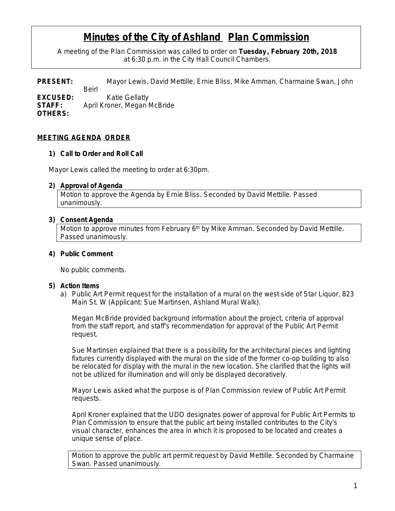# **Minutes of the City of Ashland Plan Commission**

A meeting of the Plan Commission was called to order on **Tuesday , February 20th, 2018** at 6:30 p.m. in the City Hall Council Chambers.

**PRESENT:** Mayor Lewis, David Mettille, Ernie Bliss, Mike Amman, Charmaine Swan, John Beirl **EXCUSED:** Katie Gellatly **STAFF:** April Kroner, Megan McBride **OTHERS:**

# **MEETING AGENDA ORDER**

#### **1) Call to Order and Roll Call**

Mayor Lewis called the meeting to order at 6:30pm.

#### **2) Approval of Agenda**

Motion to approve the Agenda by Ernie Bliss. Seconded by David Mettille. Passed unanimously.

## **3) Consent Agenda**

Motion to approve minutes from February 6<sup>th</sup> by Mike Amman. Seconded by David Mettille. Passed unanimously.

## **4) Public Comment**

No public comments.

#### **5) Action Items**

a) Public Art Permit request for the installation of a mural on the west side of Star Liquor, 823 Main St. W (Applicant: Sue Martinsen, Ashland Mural Walk).

Megan McBride provided background information about the project, criteria of approval from the staff report, and staff's recommendation for approval of the Public Art Permit request.

Sue Martinsen explained that there is a possibility for the architectural pieces and lighting fixtures currently displayed with the mural on the side of the former co-op building to also be relocated for display with the mural in the new location. She clarified that the lights will not be utilized for illumination and will only be displayed decoratively.

Mayor Lewis asked what the purpose is of Plan Commission review of Public Art Permit requests.

April Kroner explained that the UDO designates power of approval for Public Art Permits to Plan Commission to ensure that the public art being installed contributes to the City's visual character, enhances the area in which it is proposed to be located and creates a unique sense of place.

Motion to approve the public art permit request by David Mettille. Seconded by Charmaine Swan. Passed unanimously.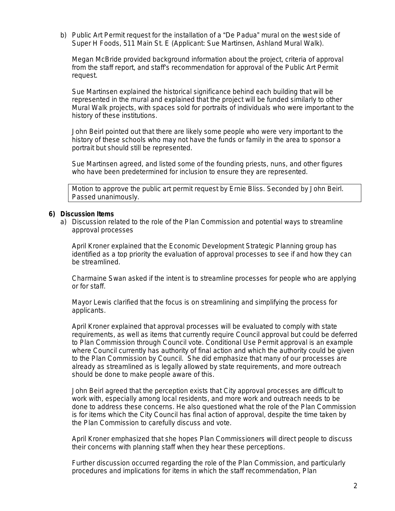b) Public Art Permit request for the installation of a "De Padua" mural on the west side of Super H Foods, 511 Main St. E (Applicant: Sue Martinsen, Ashland Mural Walk).

Megan McBride provided background information about the project, criteria of approval from the staff report, and staff's recommendation for approval of the Public Art Permit request.

Sue Martinsen explained the historical significance behind each building that will be represented in the mural and explained that the project will be funded similarly to other Mural Walk projects, with spaces sold for portraits of individuals who were important to the history of these institutions.

John Beirl pointed out that there are likely some people who were very important to the history of these schools who may not have the funds or family in the area to sponsor a portrait but should still be represented.

Sue Martinsen agreed, and listed some of the founding priests, nuns, and other figures who have been predetermined for inclusion to ensure they are represented.

Motion to approve the public art permit request by Ernie Bliss. Seconded by John Beirl. Passed unanimously.

## **6) Discussion Items**

a) Discussion related to the role of the Plan Commission and potential ways to streamline approval processes

April Kroner explained that the Economic Development Strategic Planning group has identified as a top priority the evaluation of approval processes to see if and how they can be streamlined.

Charmaine Swan asked if the intent is to streamline processes for people who are applying or for staff.

Mayor Lewis clarified that the focus is on streamlining and simplifying the process for applicants.

April Kroner explained that approval processes will be evaluated to comply with state requirements, as well as items that currently require Council approval but could be deferred to Plan Commission through Council vote. Conditional Use Permit approval is an example where Council currently has authority of final action and which the authority could be given to the Plan Commission by Council. She did emphasize that many of our processes are already as streamlined as is legally allowed by state requirements, and more outreach should be done to make people aware of this.

John Beirl agreed that the perception exists that City approval processes are difficult to work with, especially among local residents, and more work and outreach needs to be done to address these concerns. He also questioned what the role of the Plan Commission is for items which the City Council has final action of approval, despite the time taken by the Plan Commission to carefully discuss and vote.

April Kroner emphasized that she hopes Plan Commissioners will direct people to discuss their concerns with planning staff when they hear these perceptions.

Further discussion occurred regarding the role of the Plan Commission, and particularly procedures and implications for items in which the staff recommendation, Plan